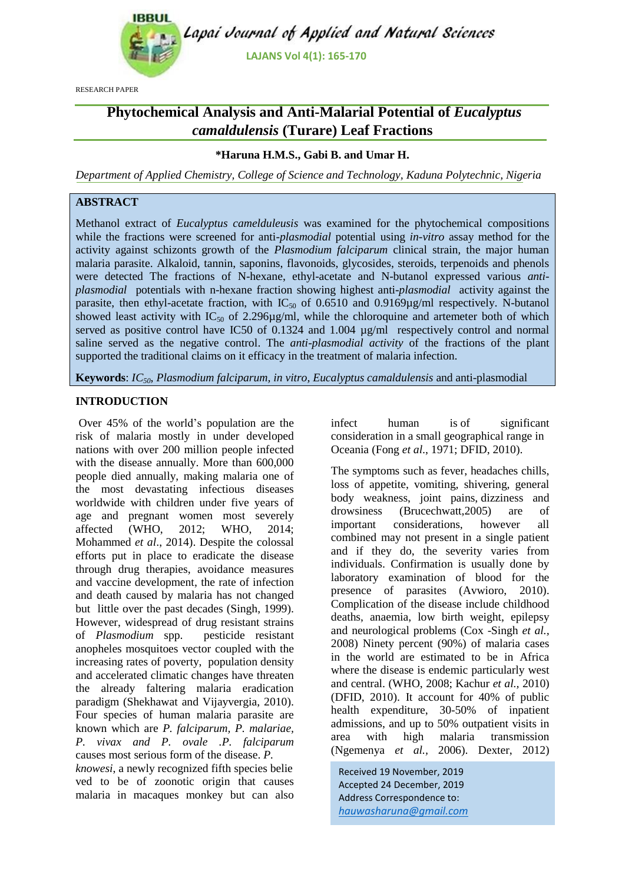

RESEARCH PAPER

# **Phytochemical Analysis and Anti-Malarial Potential of** *Eucalyptus camaldulensis* **(Turare) Leaf Fractions**

# **\*Haruna H.M.S., Gabi B. and Umar H.**

*Department of Applied Chemistry, College of Science and Technology, Kaduna Polytechnic, Nigeria*

# **ABSTRACT**

Methanol extract of *Eucalyptus camelduleusis* was examined for the phytochemical compositions while the fractions were screened for anti*-plasmodial* potential using *in-vitro* assay method for the activity against schizonts growth of the *Plasmodium falciparum* clinical strain*,* the major human malaria parasite. Alkaloid, tannin, saponins, flavonoids, glycosides, steroids, terpenoids and phenols were detected The fractions of N-hexane, ethyl-acetate and N-butanol expressed various *antiplasmodial* potentials with n-hexane fraction showing highest anti-*plasmodial* activity against the parasite, then ethyl-acetate fraction, with  $IC_{50}$  of 0.6510 and 0.9169 $\mu$ g/ml respectively. N-butanol showed least activity with  $IC_{50}$  of 2.296 $\mu$ g/ml, while the chloroquine and artemeter both of which served as positive control have IC50 of 0.1324 and 1.004 µg/ml respectively control and normal saline served as the negative control. The *anti-plasmodial activity* of the fractions of the plant supported the traditional claims on it efficacy in the treatment of malaria infection.

**Keywords**: *IC50, Plasmodium falciparum, in vitro, Eucalyptus camaldulensis* and anti-plasmodial

# **INTRODUCTION**

Over 45% of the world's population are the risk of malaria mostly in under developed nations with over 200 million people infected with the disease annually. More than 600,000 people died annually, making malaria one of the most devastating infectious diseases worldwide with children under five years of age and pregnant women most severely affected (WHO, 2012; WHO, 2014; Mohammed *et al*., 2014). Despite the colossal efforts put in place to eradicate the disease through drug therapies, avoidance measures and vaccine development, the rate of infection and death caused by malaria has not changed but little over the past decades (Singh, 1999). However, widespread of drug resistant strains of *Plasmodium* spp. pesticide resistant anopheles mosquitoes vector coupled with the increasing rates of poverty, population density and accelerated climatic changes have threaten the already faltering malaria eradication paradigm (Shekhawat and Vijayvergia, 2010). Four species of human malaria parasite are known which are *P. falciparum, P. malariae, P. vivax and P. ovale .P. falciparum* causes most serious form of the disease. *P.*

*knowesi*, a newly recognized fifth species belie ved to be of zoonotic origin that causes malaria in macaques monkey but can also infect human is of significant consideration in a small geographical range in Oceania (Fong *et al*., 1971; DFID, 2010).

The symptoms such as fever, headaches chills, loss of appetite, vomiting, shivering, general body weakness, joint pains, dizziness and drowsiness (Brucechwatt,2005) are of important considerations, however all combined may not present in a single patient and if they do, the severity varies from individuals. Confirmation is usually done by laboratory examination of blood for the presence of parasites (Avwioro, 2010). Complication of the disease include childhood deaths, anaemia, low birth weight, epilepsy and neurological problems (Cox -Singh *et al.,* 2008) Ninety percent (90%) of malaria cases in the world are estimated to be in Africa where the disease is endemic particularly west and central. (WHO, 2008; Kachur *et al.,* 2010) (DFID, 2010). It account for 40% of public health expenditure, 30-50% of inpatient admissions, and up to 50% outpatient visits in area with high malaria transmission (Ngemenya *et al.,* 2006). Dexter, 2012)

Received 19 November, 2019 Accepted 24 December, 2019 Address Correspondence to: *hauwasharuna@gmail.com*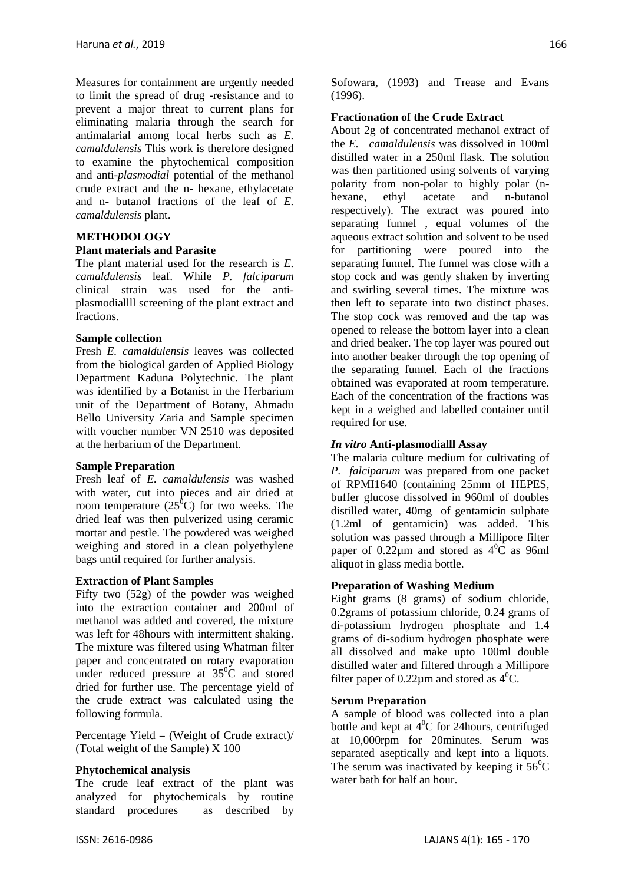Measures for containment are urgently needed to limit the spread of drug -resistance and to prevent a major threat to current plans for eliminating malaria through the search for antimalarial among local herbs such as *E. camaldulensis* This work is therefore designed to examine the phytochemical composition and anti*-plasmodial* potential of the methanol crude extract and the n- hexane, ethylacetate and n- butanol fractions of the leaf of *E. camaldulensis* plant.

## **METHODOLOGY**

## **Plant materials and Parasite**

The plant material used for the research is *E. camaldulensis* leaf. While *P. falciparum* clinical strain was used for the antiplasmodiallll screening of the plant extract and fractions.

#### **Sample collection**

Fresh *E. camaldulensis* leaves was collected from the biological garden of Applied Biology Department Kaduna Polytechnic. The plant was identified by a Botanist in the Herbarium unit of the Department of Botany, Ahmadu Bello University Zaria and Sample specimen with voucher number VN 2510 was deposited at the herbarium of the Department.

#### **Sample Preparation**

Fresh leaf of *E. camaldulensis* was washed with water, cut into pieces and air dried at room temperature  $(25^{\overline{0}}C)$  for two weeks. The dried leaf was then pulverized using ceramic mortar and pestle. The powdered was weighed weighing and stored in a clean polyethylene bags until required for further analysis.

## **Extraction of Plant Samples**

Fifty two (52g) of the powder was weighed into the extraction container and 200ml of methanol was added and covered, the mixture was left for 48hours with intermittent shaking. The mixture was filtered using Whatman filter paper and concentrated on rotary evaporation under reduced pressure at  $35^{\circ}$ C and stored dried for further use. The percentage yield of the crude extract was calculated using the following formula.

Percentage Yield = (Weight of Crude extract)/ (Total weight of the Sample) X 100

#### **Phytochemical analysis**

The crude leaf extract of the plant was analyzed for phytochemicals by routine standard procedures as described by Sofowara, (1993) and Trease and Evans (1996).

#### **Fractionation of the Crude Extract**

About 2g of concentrated methanol extract of the *E. camaldulensis* was dissolved in 100ml distilled water in a 250ml flask. The solution was then partitioned using solvents of varying polarity from non-polar to highly polar (nhexane, ethyl acetate and n-butanol respectively). The extract was poured into separating funnel , equal volumes of the aqueous extract solution and solvent to be used for partitioning were poured into the separating funnel. The funnel was close with a stop cock and was gently shaken by inverting and swirling several times. The mixture was then left to separate into two distinct phases. The stop cock was removed and the tap was opened to release the bottom layer into a clean and dried beaker. The top layer was poured out into another beaker through the top opening of the separating funnel. Each of the fractions obtained was evaporated at room temperature. Each of the concentration of the fractions was kept in a weighed and labelled container until required for use.

#### *In vitro* **Anti-plasmodialll Assay**

The malaria culture medium for cultivating of *P. falciparum* was prepared from one packet of RPMI1640 (containing 25mm of HEPES, buffer glucose dissolved in 960ml of doubles distilled water, 40mg of gentamicin sulphate (1.2ml of gentamicin) was added. This solution was passed through a Millipore filter paper of 0.22 $\mu$ m and stored as 4<sup>°</sup>C as 96ml aliquot in glass media bottle.

## **Preparation of Washing Medium**

Eight grams (8 grams) of sodium chloride, 0.2grams of potassium chloride, 0.24 grams of di-potassium hydrogen phosphate and 1.4 grams of di-sodium hydrogen phosphate were all dissolved and make upto 100ml double distilled water and filtered through a Millipore filter paper of  $0.22\mu$ m and stored as  $4^{\circ}$ C.

## **Serum Preparation**

A sample of blood was collected into a plan bottle and kept at  $4^0C$  for 24 hours, centrifuged at 10,000rpm for 20minutes. Serum was separated aseptically and kept into a liquots. The serum was inactivated by keeping it  $56^{\circ}$ C water bath for half an hour.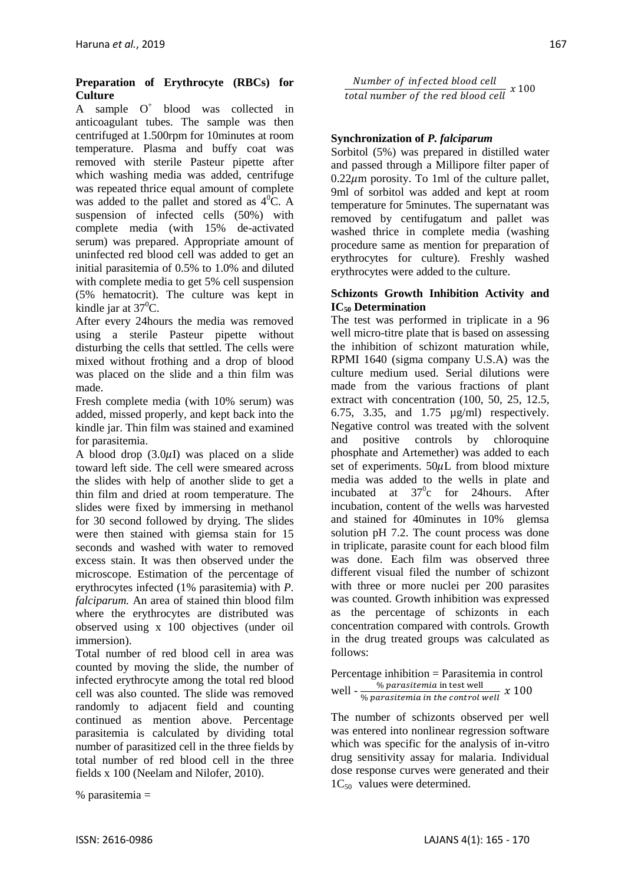## **Preparation of Erythrocyte (RBCs) for Culture**

A sample  $O^+$  blood was collected in anticoagulant tubes. The sample was then centrifuged at 1.500rpm for 10minutes at room temperature. Plasma and buffy coat was removed with sterile Pasteur pipette after which washing media was added, centrifuge was repeated thrice equal amount of complete was added to the pallet and stored as  $4^{\circ}$ C. A suspension of infected cells (50%) with complete media (with 15% de-activated serum) was prepared. Appropriate amount of uninfected red blood cell was added to get an initial parasitemia of 0.5% to 1.0% and diluted with complete media to get 5% cell suspension (5% hematocrit). The culture was kept in kindle jar at  $37^{\circ}$ C.

After every 24hours the media was removed using a sterile Pasteur pipette without disturbing the cells that settled. The cells were mixed without frothing and a drop of blood was placed on the slide and a thin film was made.

Fresh complete media (with 10% serum) was added, missed properly, and kept back into the kindle jar. Thin film was stained and examined for parasitemia.

A blood drop  $(3.0 \mu I)$  was placed on a slide toward left side. The cell were smeared across the slides with help of another slide to get a thin film and dried at room temperature. The slides were fixed by immersing in methanol for 30 second followed by drying. The slides were then stained with giemsa stain for 15 seconds and washed with water to removed excess stain. It was then observed under the microscope. Estimation of the percentage of erythrocytes infected (1% parasitemia) with *P. falciparum.* An area of stained thin blood film where the erythrocytes are distributed was observed using x 100 objectives (under oil immersion).

Total number of red blood cell in area was counted by moving the slide, the number of infected erythrocyte among the total red blood cell was also counted. The slide was removed randomly to adjacent field and counting continued as mention above. Percentage parasitemia is calculated by dividing total number of parasitized cell in the three fields by total number of red blood cell in the three fields x 100 (Neelam and Nilofer, 2010).

% parasitemia =

Number of infected blood cell  $\frac{1}{\text{total number of the red blood cell}}$  x 100

# **Synchronization of** *P. falciparum*

Sorbitol (5%) was prepared in distilled water and passed through a Millipore filter paper of  $0.22 \mu m$  porosity. To 1ml of the culture pallet, 9ml of sorbitol was added and kept at room temperature for 5minutes. The supernatant was removed by centifugatum and pallet was washed thrice in complete media (washing procedure same as mention for preparation of erythrocytes for culture). Freshly washed erythrocytes were added to the culture.

#### **Schizonts Growth Inhibition Activity and IC<sup>50</sup> Determination**

The test was performed in triplicate in a 96 well micro-titre plate that is based on assessing the inhibition of schizont maturation while, RPMI 1640 (sigma company U.S.A) was the culture medium used. Serial dilutions were made from the various fractions of plant extract with concentration (100, 50, 25, 12.5, 6.75, 3.35, and 1.75 µg/ml) respectively. Negative control was treated with the solvent and positive controls by chloroquine phosphate and Artemether) was added to each set of experiments.  $50 \mu L$  from blood mixture media was added to the wells in plate and incubated at  $37^\circ$ c for 24 hours. After incubation, content of the wells was harvested and stained for 40minutes in 10% glemsa solution pH 7.2. The count process was done in triplicate, parasite count for each blood film was done. Each film was observed three different visual filed the number of schizont with three or more nuclei per 200 parasites was counted. Growth inhibition was expressed as the percentage of schizonts in each concentration compared with controls. Growth in the drug treated groups was calculated as follows:

Percentage inhibition = Parasitemia in control well -  $\frac{\%}{\%}$  $\frac{1}{20}$  parastic mixture in the control well  $\chi$ 

The number of schizonts observed per well was entered into nonlinear regression software which was specific for the analysis of in-vitro drug sensitivity assay for malaria. Individual dose response curves were generated and their  $1C_{50}$  values were determined.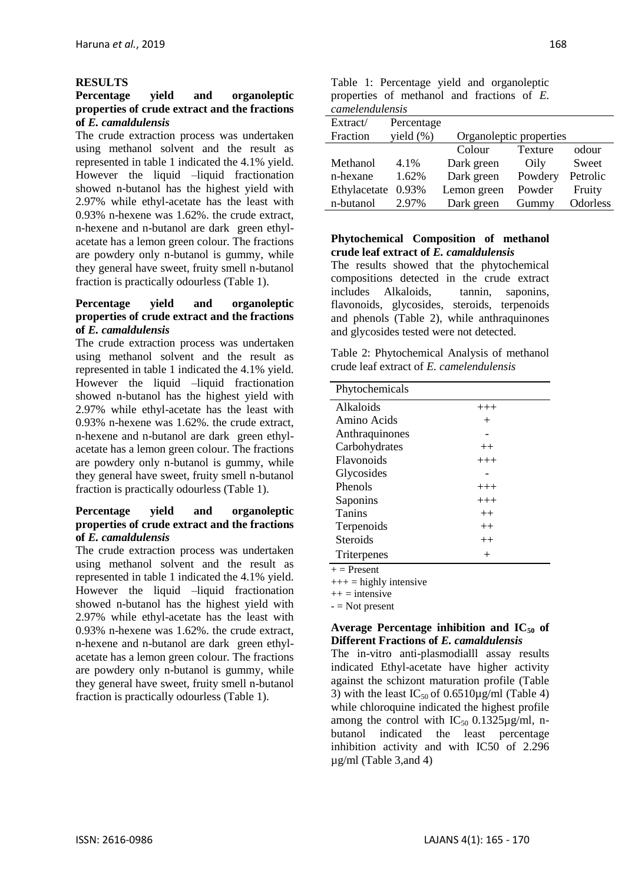## **RESULTS**

## **Percentage yield and organoleptic properties of crude extract and the fractions of** *E. camaldulensis*

The crude extraction process was undertaken using methanol solvent and the result as represented in table 1 indicated the 4.1% yield. However the liquid –liquid fractionation showed n-butanol has the highest yield with 2.97% while ethyl-acetate has the least with 0.93% n-hexene was 1.62%. the crude extract, n-hexene and n-butanol are dark green ethylacetate has a lemon green colour. The fractions are powdery only n-butanol is gummy, while they general have sweet, fruity smell n-butanol fraction is practically odourless (Table 1).

## **Percentage yield and organoleptic properties of crude extract and the fractions of** *E. camaldulensis*

The crude extraction process was undertaken using methanol solvent and the result as represented in table 1 indicated the 4.1% yield. However the liquid –liquid fractionation showed n-butanol has the highest yield with 2.97% while ethyl-acetate has the least with 0.93% n-hexene was 1.62%. the crude extract, n-hexene and n-butanol are dark green ethylacetate has a lemon green colour. The fractions are powdery only n-butanol is gummy, while they general have sweet, fruity smell n-butanol fraction is practically odourless (Table 1).

#### **Percentage yield and organoleptic properties of crude extract and the fractions of** *E. camaldulensis*

The crude extraction process was undertaken using methanol solvent and the result as represented in table 1 indicated the 4.1% yield. However the liquid –liquid fractionation showed n-butanol has the highest yield with 2.97% while ethyl-acetate has the least with 0.93% n-hexene was 1.62%. the crude extract, n-hexene and n-butanol are dark green ethylacetate has a lemon green colour. The fractions are powdery only n-butanol is gummy, while they general have sweet, fruity smell n-butanol fraction is practically odourless (Table 1).

|                 |  | Table 1: Percentage yield and organoleptic    |  |  |  |
|-----------------|--|-----------------------------------------------|--|--|--|
|                 |  | properties of methanol and fractions of $E$ . |  |  |  |
| camelendulensis |  |                                               |  |  |  |

| cancellaturensis |               |                         |         |          |
|------------------|---------------|-------------------------|---------|----------|
| Extract/         | Percentage    |                         |         |          |
| Fraction         | yield $(\% )$ | Organoleptic properties |         |          |
|                  |               | Colour                  | Texture | odour    |
| Methanol         | 4.1%          | Dark green              | Oily    | Sweet    |
| n-hexane         | 1.62%         | Dark green              | Powdery | Petrolic |
| Ethylacetate     | 0.93%         | Lemon green             | Powder  | Fruity   |
| n-butanol        | 2.97%         | Dark green              | Gummy   | Odorless |

#### **Phytochemical Composition of methanol crude leaf extract of** *E. camaldulensis*

The results showed that the phytochemical compositions detected in the crude extract includes Alkaloids, tannin, saponins, flavonoids, glycosides, steroids, terpenoids and phenols (Table 2), while anthraquinones and glycosides tested were not detected.

Table 2: Phytochemical Analysis of methanol crude leaf extract of *E. camelendulensis*

| Phytochemicals  |          |
|-----------------|----------|
| Alkaloids       | $+++$    |
| Amino Acids     | $^+$     |
| Anthraquinones  |          |
| Carbohydrates   | $^{++}$  |
| Flavonoids      | $+++$    |
| Glycosides      |          |
| Phenols         | $+++$    |
| Saponins        | $^{+++}$ |
| <b>Tanins</b>   | $++$     |
| Terpenoids      | $++$     |
| <b>Steroids</b> | $++$     |
| Triterpenes     | $^{+}$   |

 $+=$  Present

 $+++$  = highly intensive

 $++ =$  intensive

 $-$  = Not present

## **Average Percentage inhibition and IC<sup>50</sup> of Different Fractions of** *E. camaldulensis*

The in-vitro anti-plasmodialll assay results indicated Ethyl-acetate have higher activity against the schizont maturation profile (Table 3) with the least  $IC_{50}$  of 0.6510 $\mu$ g/ml (Table 4) while chloroquine indicated the highest profile among the control with  $IC_{50}$  0.1325 $\mu$ g/ml, nbutanol indicated the least percentage inhibition activity and with IC50 of 2.296 µg/ml (Table 3,and 4)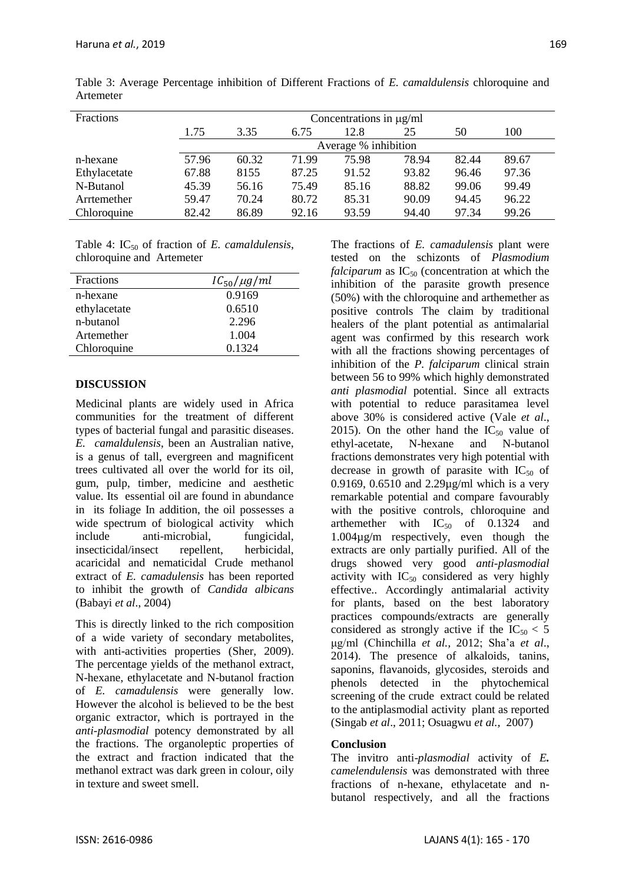| <b>Fractions</b> | Concentrations in $\mu$ g/ml |       |       |                      |       |       |       |
|------------------|------------------------------|-------|-------|----------------------|-------|-------|-------|
|                  | 1.75                         | 3.35  | 6.75  | 12.8                 | 25    | 50    | 100   |
|                  |                              |       |       | Average % inhibition |       |       |       |
| n-hexane         | 57.96                        | 60.32 | 71.99 | 75.98                | 78.94 | 82.44 | 89.67 |
| Ethylacetate     | 67.88                        | 8155  | 87.25 | 91.52                | 93.82 | 96.46 | 97.36 |
| N-Butanol        | 45.39                        | 56.16 | 75.49 | 85.16                | 88.82 | 99.06 | 99.49 |
| Arrtemether      | 59.47                        | 70.24 | 80.72 | 85.31                | 90.09 | 94.45 | 96.22 |
| Chloroquine      | 82.42                        | 86.89 | 92.16 | 93.59                | 94.40 | 97.34 | 99.26 |

Table 3: Average Percentage inhibition of Different Fractions of *E. camaldulensis* chloroquine and Artemeter

Table 4: IC<sub>50</sub> of fraction of *E. camaldulensis*, chloroquine and Artemeter

| Fractions    | $IC_{50}/\mu g/ml$ |
|--------------|--------------------|
| n-hexane     | 0.9169             |
| ethylacetate | 0.6510             |
| n-butanol    | 2.296              |
| Artemether   | 1.004              |
| Chloroquine  | 0.1324             |

# **DISCUSSION**

Medicinal plants are widely used in Africa communities for the treatment of different types of bacterial fungal and parasitic diseases. *E. camaldulensis*, been an Australian native, is a genus of tall, evergreen and magnificent trees cultivated all over the world for its oil, gum, pulp, timber, medicine and aesthetic value. Its essential oil are found in abundance in its foliage In addition, the oil possesses a wide spectrum of biological activity which include anti-microbial, fungicidal, insecticidal/insect repellent, herbicidal, acaricidal and nematicidal Crude methanol extract of *E. camadulensis* has been reported to inhibit the growth of *Candida albicans* (Babayi *et al*., 2004)

This is directly linked to the rich composition of a wide variety of secondary metabolites, with anti-activities properties (Sher, 2009). The percentage yields of the methanol extract, N-hexane, ethylacetate and N-butanol fraction of *E. camadulensis* were generally low. However the alcohol is believed to be the best organic extractor, which is portrayed in the *anti-plasmodial* potency demonstrated by all the fractions. The organoleptic properties of the extract and fraction indicated that the methanol extract was dark green in colour, oily in texture and sweet smell.

The fractions of *E. camadulensis* plant were tested on the schizonts of *Plasmodium falciparum* as  $IC_{50}$  (concentration at which the inhibition of the parasite growth presence (50%) with the chloroquine and arthemether as positive controls The claim by traditional healers of the plant potential as antimalarial agent was confirmed by this research work with all the fractions showing percentages of inhibition of the *P. falciparum* clinical strain between 56 to 99% which highly demonstrated *anti plasmodial* potential. Since all extracts with potential to reduce parasitamea level above 30% is considered active (Vale *et al*., 2015). On the other hand the  $IC_{50}$  value of ethyl-acetate, N-hexane and N-butanol fractions demonstrates very high potential with decrease in growth of parasite with  $IC_{50}$  of 0.9169, 0.6510 and 2.29µg/ml which is a very remarkable potential and compare favourably with the positive controls, chloroquine and arthemether with  $IC_{50}$  of 0.1324 and 1.004µg/m respectively, even though the extracts are only partially purified. All of the drugs showed very good *anti-plasmodial* activity with  $IC_{50}$  considered as very highly effective.. Accordingly antimalarial activity for plants, based on the best laboratory practices compounds/extracts are generally considered as strongly active if the  $IC_{50} < 5$ μg/ml (Chinchilla *et al.,* 2012; Sha'a *et al*., 2014). The presence of alkaloids, tanins, saponins, flavanoids, glycosides, steroids and phenols detected in the phytochemical screening of the crude extract could be related to the antiplasmodial activity plant as reported (Singab *et al*., 2011; Osuagwu *et al.,* 2007)

# **Conclusion**

The invitro anti-*plasmodial* activity of *E. camelendulensis* was demonstrated with three fractions of n-hexane, ethylacetate and nbutanol respectively, and all the fractions